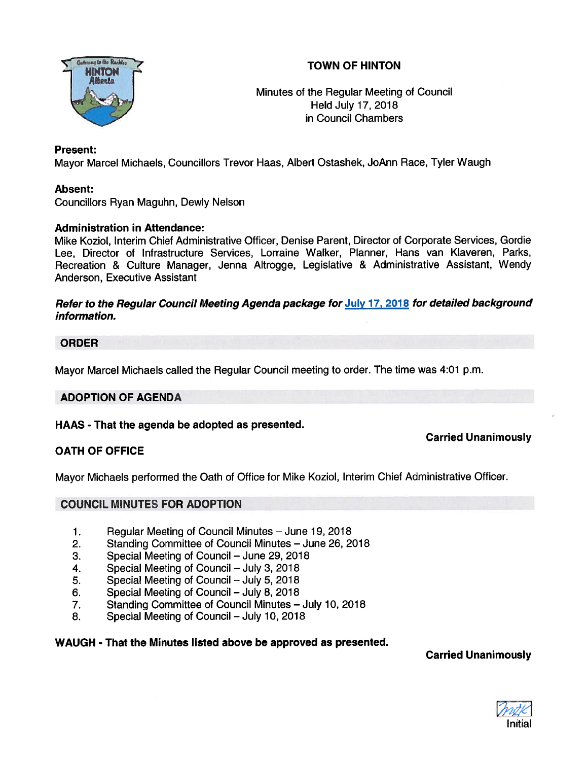



Minutes of the Regular Meeting of Council Held July 17, 2018 in Council Chambers

# Present:

Mayor Marcel Michaels, Councillors Trevor Haas, Albert Ostashek, JoAnn Race, Tyler Waugh

# Absent:

Councillors Ryan Maguhn, Dewly Nelson

# Administration in Attendance:

Mike Koziol, Interim Chief Administrative Officer, Denise Parent, Director of Corporate Services, Gordie Lee, Director of Infrastructure Services, Lorraine Walker, Planner, Hans van Klaveren, Parks, Recreation & Culture Manager, Jenna Altrogge, Legislative & Administrative Assistant, Wendy Anderson, Executive Assistant

### Refer to the Regular Council Meeting Agenda package for July 17, <sup>2018</sup> for detailed background information.

# ORDER

Mayor Marcel Michaels called the Regular Council meeting to order. The time was 4:01 p.m.

# ADOPTION OF AGENDA

# HAAS - That the agenda be adopted as presented.

# Carried Unanimously

# OATH OF OFFICE

Mayor Michaels performed the Oath of Office for Mike Koziol, Interim Chief Administrative Officer.

# COUNCIL MINUTES FOR ADOPTION

- 1. Regular Meeting of Council Minutes June 19, 2018
- 2. Standing Committee of Council Minutes June 26, 2018
- 3. Special Meeting of Council June 29, 2018
- 4. Special Meeting of Council July 3, 2018
- 5. Special Meeting of Council July 5, 2018
- 6. Special Meeting of Council July 8, 2018
- 7. Standing Committee of Council Minutes July 10, 2018
- 8. Special Meeting of Council July 10, 2018

#### WAUGH - That the Minutes listed above be approved as presented.

# Carried Unanimously

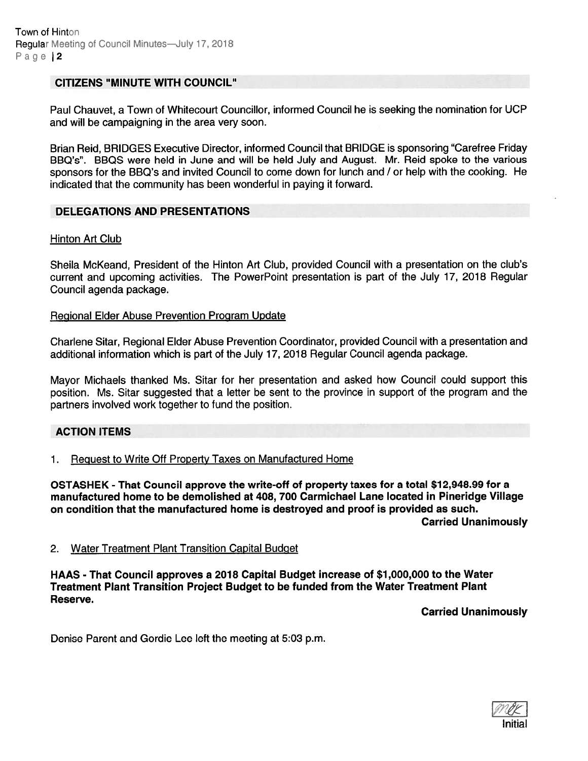### CITIZENS "MINUTE WITH COUNCIL"

Paul Chauvet, <sup>a</sup> Town of Whitecourt Councillor, informed Council he is seeking the nomination for UCP and will be campaigning in the area very soon.

Brian Reid, BRIDGES Executive Director, informed Council that BRIDGE is sponsoring "Carefree Friday BBQ's". BBQS were held in June and will be held July and August. Mr. Reid spoke to the various sponsors for the BBQ's and invited Council to come down for lunch and / or help with the cooking. He indicated that the community has been wonderful in paying it forward.

### DELEGATIONS AND PRESENTATIONS

#### Hinton Art Club

Sheila McKeand, President of the Hinton Art Club, provided Council with <sup>a</sup> presentation on the club's current and upcoming activities. The PowerPoint presentation is par<sup>t</sup> of the July 17, 2018 Regular Council agenda package.

#### Regional Elder Abuse Prevention Program Update

Charlene Sitar, Regional Elder Abuse Prevention Coordinator, provided Council with <sup>a</sup> presentation and additional information which is par<sup>t</sup> of the July 17, 2018 Regular Council agenda package.

Mayor Michaels thanked Ms. Sitar for her presentation and asked how Council could suppor<sup>t</sup> this position. Ms. Sitar suggested that <sup>a</sup> letter be sent to the province in suppor<sup>t</sup> of the program and the partners involved work together to fund the position.

#### ACTION ITEMS

1. Request to Write Off Property Taxes on Manufactured Home

OSTASHEK - That Council approve the write-off of property taxes for <sup>a</sup> total \$12,948.99 for <sup>a</sup> manufactured home to be demolished at 408, 700 Carmichael Lane located in Pineridge Village on condition that the manufactured home is destroyed and proof is provided as such. Carried Unanimously

#### 2. Water Treatment Plant Transition Capital Budget

HAAS - That Council approves <sup>a</sup> 2018 Capital Budget increase of \$1,000,000 to the Water Treatment Plant Transition Project Budget to be funded from the Water Treatment Plant Reserve.

Carried Unanimously

Denise Parent and Gordie Lee left the meeting at 5:03 p.m.

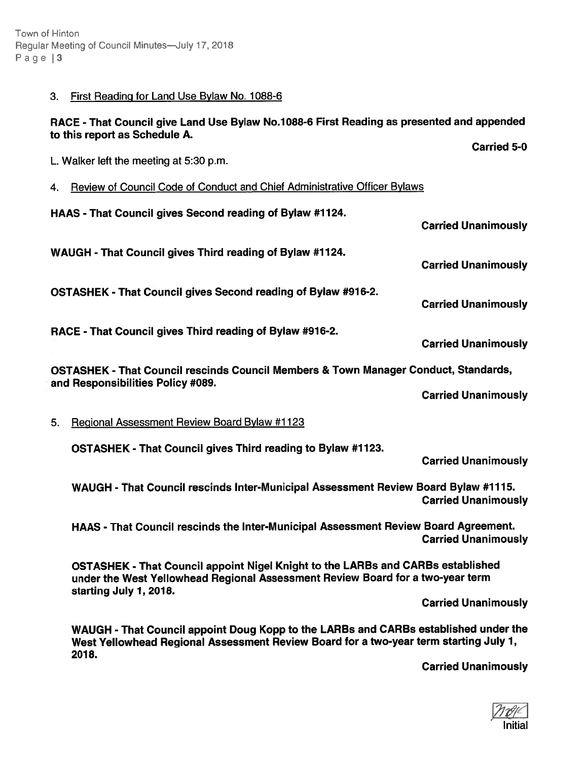Town of Hinton Regular Meeting of Council Minutes—July 17, 2018 Page | 3

#### 3. First Reading for Land Use Bylaw No. 1088-6

### RACE -That Council <sup>g</sup>ive Land Use Bylaw No.1088-6 First Reading as presented and appended to this repor<sup>t</sup> as Schedule A.

L. Walker left the meeting at 5:30 p.m.

- 4. Review of Council Code of Conduct and Chief Administrative Officer Bylaws
- HAAS That Council gives Second reading of Bylaw #1124. Carried Unanimously WAUGH - That Council gives Third reading of Bylaw #1124. Carried Unanimously OSTASHEK - That Council gives Second reading of Bylaw #916-2. Carried Unanimously RACE - That Council gives Third reading of Bylaw #916-2. Carried Unanimously OSTASHEK - That Council rescinds Council Members & Town Manager Conduct, Standards, and Responsibilities Policy #089. Carried Unanimously
- 5. Regional Assessment Review Board Bylaw #1123

OSTASHEK - That Council gives Third reading to Bylaw #1123.

Carried Unanimously

Carried 5-0

WAUGH - That Council rescinds Inter-Municipal Assessment Review Board Bylaw #1115. Carried Unanimously

HAAS - That Council rescinds the Inter-Municipal Assessment Review Board Agreement. Carried Unanimously

OSTASHEK - That Council appoint Nigel Knight to the LARBs and CAREs established under the West Yellowhead Regional Assessment Review Board for <sup>a</sup> two-year term starting July 1, 2018.

Carried Unanimously

WAUGH - That Council appoint Doug Kopp to the LARBs and CARBs established under the West Yellowhead Regional Assessment Review Board for <sup>a</sup> two-year term starting July 7, 2018.

Carried Unanimously

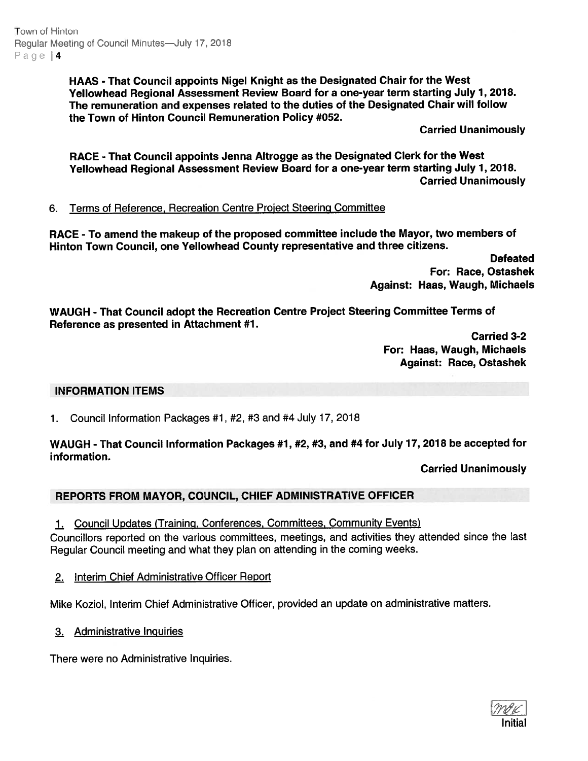Town of Hinton Regular Meeting of Council Minutes-July 17, 2018 Page | 4

> HAAS -That Council appoints Nigel Knight as the Designated Chair for the West Yellowhead Regional Assessment Review Board for <sup>a</sup> one-year term starting July 1, 2018. The remuneration and expenses related to the duties of the Designated Chair will follow the Town of Hinton Council Remuneration Policy #052.

> > Carried Unanimously

RACE - That Council appoints Jenna Altrogge as the Designated Clerk for the West Yellowhead Regional Assessment Review Board for <sup>a</sup> one-year term starting July 1, 2018. Carried Unanimously

# 6. Terms of Reference, Recreation Centre Project Steering Committee

RACE - To amend the makeup of the propose<sup>d</sup> committee include the Mayor, two members of Hinton Town Council, one Yellowhead County representative and three citizens.

> **Defeated** For: Race, Ostashek Against: Haas, Waugh, Michaels

WAUGH - That Council adopt the Recreation Centre Project Steering Committee Terms of Reference as presented in Attachment #1.

> Carried 3-2 For: Haas, Waugh, Michaels Against: Race, Ostashek

#### INFORMATION ITEMS

1. Council Information Packages #1, #2, #3 and #4 July 17, 2018

### WAUGH - That Council Information Packages #1, #2, #3, and #4 for July 17, 2018 be accepted for information.

Carried Unanimously

# REPORTS FROM MAYOR, COUNCIL, CHIEF ADMINISTRATIVE OFFICER

1. Council Updates (Training, Conferences, Committees, Community Events)

Councillors reported on the various committees, meetings, and activities they attended since the last Regular Council meeting and what they <sup>p</sup>lan on attending in the coming weeks.

2. Interim Chief Administrative Officer Report

Mike Koziol, Interim Chief Administrative Officer, provided an update on administrative matters.

3. Administrative Inquiries

There were no Administrative Inquiries.